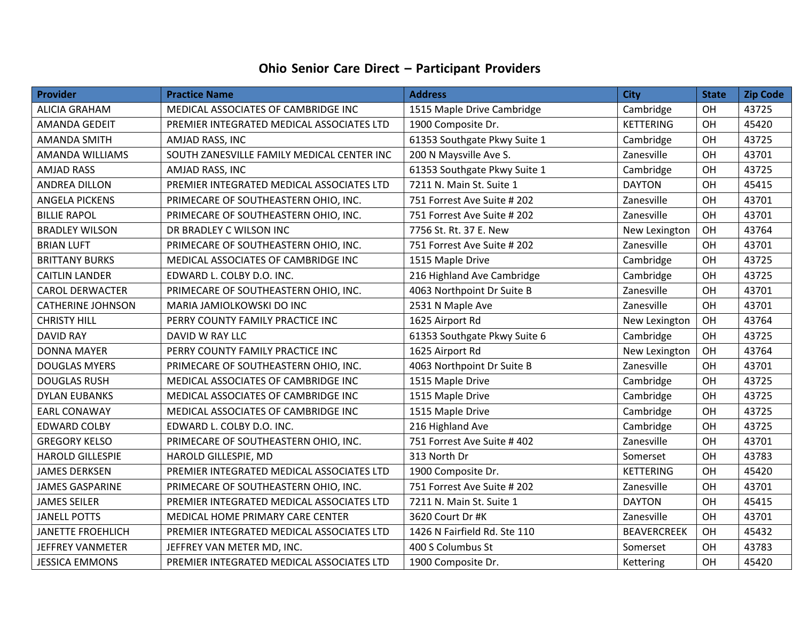## **Ohio Senior Care Direct – Participant Providers**

| Provider                 | <b>Practice Name</b>                       | <b>Address</b>               | <b>City</b>        | <b>State</b> | <b>Zip Code</b> |
|--------------------------|--------------------------------------------|------------------------------|--------------------|--------------|-----------------|
| <b>ALICIA GRAHAM</b>     | MEDICAL ASSOCIATES OF CAMBRIDGE INC        | 1515 Maple Drive Cambridge   | Cambridge          | OH           | 43725           |
| <b>AMANDA GEDEIT</b>     | PREMIER INTEGRATED MEDICAL ASSOCIATES LTD  | 1900 Composite Dr.           | <b>KETTERING</b>   | OH           | 45420           |
| <b>AMANDA SMITH</b>      | AMJAD RASS, INC                            | 61353 Southgate Pkwy Suite 1 | Cambridge          | OH           | 43725           |
| AMANDA WILLIAMS          | SOUTH ZANESVILLE FAMILY MEDICAL CENTER INC | 200 N Maysville Ave S.       | Zanesville         | OH           | 43701           |
| <b>AMJAD RASS</b>        | AMJAD RASS, INC                            | 61353 Southgate Pkwy Suite 1 | Cambridge          | OH           | 43725           |
| ANDREA DILLON            | PREMIER INTEGRATED MEDICAL ASSOCIATES LTD  | 7211 N. Main St. Suite 1     | <b>DAYTON</b>      | OH           | 45415           |
| <b>ANGELA PICKENS</b>    | PRIMECARE OF SOUTHEASTERN OHIO, INC.       | 751 Forrest Ave Suite # 202  | Zanesville         | OH           | 43701           |
| <b>BILLIE RAPOL</b>      | PRIMECARE OF SOUTHEASTERN OHIO, INC.       | 751 Forrest Ave Suite # 202  | Zanesville         | OH           | 43701           |
| <b>BRADLEY WILSON</b>    | DR BRADLEY C WILSON INC                    | 7756 St. Rt. 37 E. New       | New Lexington      | OH           | 43764           |
| <b>BRIAN LUFT</b>        | PRIMECARE OF SOUTHEASTERN OHIO, INC.       | 751 Forrest Ave Suite # 202  | Zanesville         | OH           | 43701           |
| <b>BRITTANY BURKS</b>    | MEDICAL ASSOCIATES OF CAMBRIDGE INC        | 1515 Maple Drive             | Cambridge          | OH           | 43725           |
| <b>CAITLIN LANDER</b>    | EDWARD L. COLBY D.O. INC.                  | 216 Highland Ave Cambridge   | Cambridge          | OH           | 43725           |
| <b>CAROL DERWACTER</b>   | PRIMECARE OF SOUTHEASTERN OHIO, INC.       | 4063 Northpoint Dr Suite B   | Zanesville         | OH           | 43701           |
| <b>CATHERINE JOHNSON</b> | MARIA JAMIOLKOWSKI DO INC                  | 2531 N Maple Ave             | Zanesville         | OH           | 43701           |
| <b>CHRISTY HILL</b>      | PERRY COUNTY FAMILY PRACTICE INC           | 1625 Airport Rd              | New Lexington      | OH           | 43764           |
| <b>DAVID RAY</b>         | DAVID W RAY LLC                            | 61353 Southgate Pkwy Suite 6 | Cambridge          | OH           | 43725           |
| <b>DONNA MAYER</b>       | PERRY COUNTY FAMILY PRACTICE INC           | 1625 Airport Rd              | New Lexington      | OH           | 43764           |
| <b>DOUGLAS MYERS</b>     | PRIMECARE OF SOUTHEASTERN OHIO, INC.       | 4063 Northpoint Dr Suite B   | Zanesville         | OH           | 43701           |
| <b>DOUGLAS RUSH</b>      | MEDICAL ASSOCIATES OF CAMBRIDGE INC        | 1515 Maple Drive             | Cambridge          | OH           | 43725           |
| <b>DYLAN EUBANKS</b>     | MEDICAL ASSOCIATES OF CAMBRIDGE INC        | 1515 Maple Drive             | Cambridge          | OH           | 43725           |
| <b>EARL CONAWAY</b>      | MEDICAL ASSOCIATES OF CAMBRIDGE INC        | 1515 Maple Drive             | Cambridge          | OH           | 43725           |
| <b>EDWARD COLBY</b>      | EDWARD L. COLBY D.O. INC.                  | 216 Highland Ave             | Cambridge          | OH           | 43725           |
| <b>GREGORY KELSO</b>     | PRIMECARE OF SOUTHEASTERN OHIO, INC.       | 751 Forrest Ave Suite # 402  | Zanesville         | OH           | 43701           |
| <b>HAROLD GILLESPIE</b>  | HAROLD GILLESPIE, MD                       | 313 North Dr                 | Somerset           | OH           | 43783           |
| <b>JAMES DERKSEN</b>     | PREMIER INTEGRATED MEDICAL ASSOCIATES LTD  | 1900 Composite Dr.           | <b>KETTERING</b>   | OH           | 45420           |
| <b>JAMES GASPARINE</b>   | PRIMECARE OF SOUTHEASTERN OHIO, INC.       | 751 Forrest Ave Suite # 202  | Zanesville         | OH           | 43701           |
| <b>JAMES SEILER</b>      | PREMIER INTEGRATED MEDICAL ASSOCIATES LTD  | 7211 N. Main St. Suite 1     | <b>DAYTON</b>      | OH           | 45415           |
| <b>JANELL POTTS</b>      | MEDICAL HOME PRIMARY CARE CENTER           | 3620 Court Dr #K             | Zanesville         | OH           | 43701           |
| <b>JANETTE FROEHLICH</b> | PREMIER INTEGRATED MEDICAL ASSOCIATES LTD  | 1426 N Fairfield Rd. Ste 110 | <b>BEAVERCREEK</b> | OH           | 45432           |
| <b>JEFFREY VANMETER</b>  | JEFFREY VAN METER MD, INC.                 | 400 S Columbus St            | Somerset           | OH           | 43783           |
| <b>JESSICA EMMONS</b>    | PREMIER INTEGRATED MEDICAL ASSOCIATES LTD  | 1900 Composite Dr.           | Kettering          | OH           | 45420           |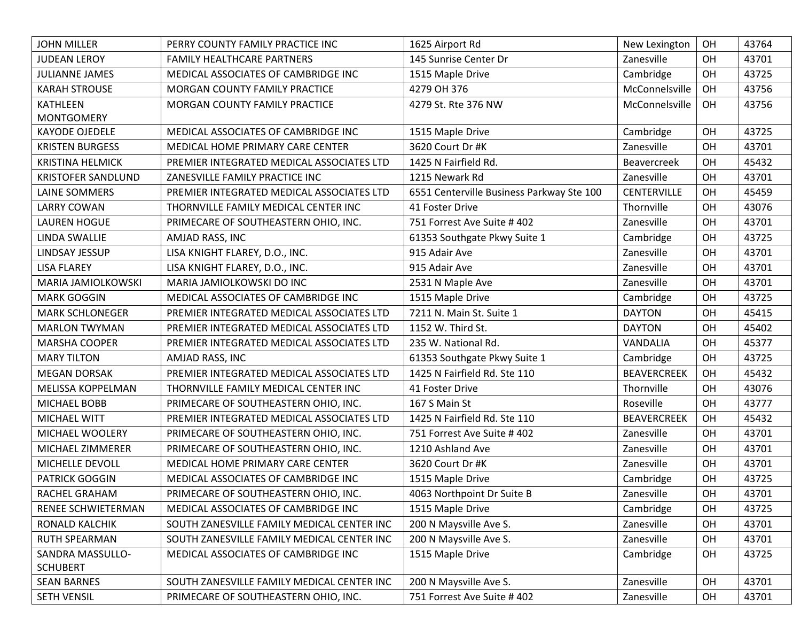| <b>JOHN MILLER</b>        | PERRY COUNTY FAMILY PRACTICE INC           | 1625 Airport Rd                           | New Lexington      | OH | 43764 |
|---------------------------|--------------------------------------------|-------------------------------------------|--------------------|----|-------|
| <b>JUDEAN LEROY</b>       | FAMILY HEALTHCARE PARTNERS                 | 145 Sunrise Center Dr                     | Zanesville         | OH | 43701 |
| <b>JULIANNE JAMES</b>     | MEDICAL ASSOCIATES OF CAMBRIDGE INC        | 1515 Maple Drive                          | Cambridge          | OH | 43725 |
| <b>KARAH STROUSE</b>      | MORGAN COUNTY FAMILY PRACTICE              | 4279 OH 376                               | McConnelsville     | OH | 43756 |
| <b>KATHLEEN</b>           | MORGAN COUNTY FAMILY PRACTICE              | 4279 St. Rte 376 NW                       | McConnelsville     | OH | 43756 |
| <b>MONTGOMERY</b>         |                                            |                                           |                    |    |       |
| <b>KAYODE OJEDELE</b>     | MEDICAL ASSOCIATES OF CAMBRIDGE INC        | 1515 Maple Drive                          | Cambridge          | OH | 43725 |
| <b>KRISTEN BURGESS</b>    | MEDICAL HOME PRIMARY CARE CENTER           | 3620 Court Dr #K                          | Zanesville         | OH | 43701 |
| <b>KRISTINA HELMICK</b>   | PREMIER INTEGRATED MEDICAL ASSOCIATES LTD  | 1425 N Fairfield Rd.                      | <b>Beavercreek</b> | OH | 45432 |
| <b>KRISTOFER SANDLUND</b> | ZANESVILLE FAMILY PRACTICE INC             | 1215 Newark Rd                            | Zanesville         | OH | 43701 |
| <b>LAINE SOMMERS</b>      | PREMIER INTEGRATED MEDICAL ASSOCIATES LTD  | 6551 Centerville Business Parkway Ste 100 | <b>CENTERVILLE</b> | OH | 45459 |
| <b>LARRY COWAN</b>        | THORNVILLE FAMILY MEDICAL CENTER INC       | 41 Foster Drive                           | Thornville         | OH | 43076 |
| <b>LAUREN HOGUE</b>       | PRIMECARE OF SOUTHEASTERN OHIO, INC.       | 751 Forrest Ave Suite # 402               | Zanesville         | OH | 43701 |
| LINDA SWALLIE             | AMJAD RASS, INC                            | 61353 Southgate Pkwy Suite 1              | Cambridge          | OH | 43725 |
| LINDSAY JESSUP            | LISA KNIGHT FLAREY, D.O., INC.             | 915 Adair Ave                             | Zanesville         | OH | 43701 |
| <b>LISA FLAREY</b>        | LISA KNIGHT FLAREY, D.O., INC.             | 915 Adair Ave                             | Zanesville         | OH | 43701 |
| <b>MARIA JAMIOLKOWSKI</b> | MARIA JAMIOLKOWSKI DO INC                  | 2531 N Maple Ave                          | Zanesville         | OH | 43701 |
| <b>MARK GOGGIN</b>        | MEDICAL ASSOCIATES OF CAMBRIDGE INC        | 1515 Maple Drive                          | Cambridge          | OH | 43725 |
| <b>MARK SCHLONEGER</b>    | PREMIER INTEGRATED MEDICAL ASSOCIATES LTD  | 7211 N. Main St. Suite 1                  | <b>DAYTON</b>      | OH | 45415 |
| <b>MARLON TWYMAN</b>      | PREMIER INTEGRATED MEDICAL ASSOCIATES LTD  | 1152 W. Third St.                         | <b>DAYTON</b>      | OH | 45402 |
| MARSHA COOPER             | PREMIER INTEGRATED MEDICAL ASSOCIATES LTD  | 235 W. National Rd.                       | VANDALIA           | OH | 45377 |
| <b>MARY TILTON</b>        | AMJAD RASS, INC                            | 61353 Southgate Pkwy Suite 1              | Cambridge          | OH | 43725 |
| <b>MEGAN DORSAK</b>       | PREMIER INTEGRATED MEDICAL ASSOCIATES LTD  | 1425 N Fairfield Rd. Ste 110              | <b>BEAVERCREEK</b> | OH | 45432 |
| MELISSA KOPPELMAN         | THORNVILLE FAMILY MEDICAL CENTER INC       | 41 Foster Drive                           | Thornville         | OH | 43076 |
| <b>MICHAEL BOBB</b>       | PRIMECARE OF SOUTHEASTERN OHIO, INC.       | 167 S Main St                             | Roseville          | OH | 43777 |
| <b>MICHAEL WITT</b>       | PREMIER INTEGRATED MEDICAL ASSOCIATES LTD  | 1425 N Fairfield Rd. Ste 110              | <b>BEAVERCREEK</b> | OH | 45432 |
| MICHAEL WOOLERY           | PRIMECARE OF SOUTHEASTERN OHIO, INC.       | 751 Forrest Ave Suite # 402               | Zanesville         | OH | 43701 |
| MICHAEL ZIMMERER          | PRIMECARE OF SOUTHEASTERN OHIO, INC.       | 1210 Ashland Ave                          | Zanesville         | OH | 43701 |
| MICHELLE DEVOLL           | MEDICAL HOME PRIMARY CARE CENTER           | 3620 Court Dr #K                          | Zanesville         | OH | 43701 |
| <b>PATRICK GOGGIN</b>     | MEDICAL ASSOCIATES OF CAMBRIDGE INC        | 1515 Maple Drive                          | Cambridge          | OH | 43725 |
| RACHEL GRAHAM             | PRIMECARE OF SOUTHEASTERN OHIO, INC.       | 4063 Northpoint Dr Suite B                | Zanesville         | OH | 43701 |
| RENEE SCHWIETERMAN        | MEDICAL ASSOCIATES OF CAMBRIDGE INC        | 1515 Maple Drive                          | Cambridge          | OH | 43725 |
| RONALD KALCHIK            | SOUTH ZANESVILLE FAMILY MEDICAL CENTER INC | 200 N Maysville Ave S.                    | Zanesville         | OH | 43701 |
| RUTH SPEARMAN             | SOUTH ZANESVILLE FAMILY MEDICAL CENTER INC | 200 N Maysville Ave S.                    | Zanesville         | OH | 43701 |
| SANDRA MASSULLO-          | MEDICAL ASSOCIATES OF CAMBRIDGE INC        | 1515 Maple Drive                          | Cambridge          | OH | 43725 |
| <b>SCHUBERT</b>           |                                            |                                           |                    |    |       |
| <b>SEAN BARNES</b>        | SOUTH ZANESVILLE FAMILY MEDICAL CENTER INC | 200 N Maysville Ave S.                    | Zanesville         | OH | 43701 |
| SETH VENSIL               | PRIMECARE OF SOUTHEASTERN OHIO, INC.       | 751 Forrest Ave Suite # 402               | Zanesville         | OH | 43701 |